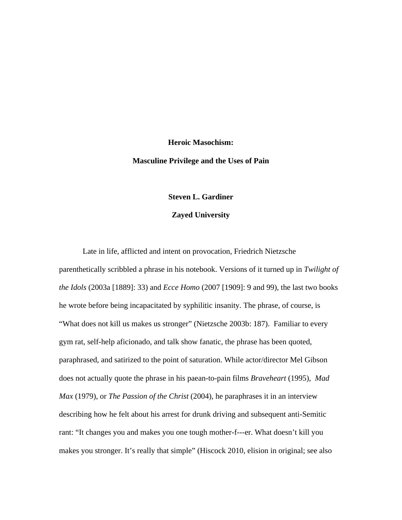# **Heroic Masochism:**

**Masculine Privilege and the Uses of Pain** 

**Steven L. Gardiner** 

**Zayed University** 

Late in life, afflicted and intent on provocation, Friedrich Nietzsche parenthetically scribbled a phrase in his notebook. Versions of it turned up in *Twilight of the Idols* (2003a [1889]: 33) and *Ecce Homo* (2007 [1909]: 9 and 99), the last two books he wrote before being incapacitated by syphilitic insanity. The phrase, of course, is "What does not kill us makes us stronger" (Nietzsche 2003b: 187). Familiar to every gym rat, self-help aficionado, and talk show fanatic, the phrase has been quoted, paraphrased, and satirized to the point of saturation. While actor/director Mel Gibson does not actually quote the phrase in his paean-to-pain films *Braveheart* (1995), *Mad Max* (1979), or *The Passion of the Christ* (2004), he paraphrases it in an interview describing how he felt about his arrest for drunk driving and subsequent anti-Semitic rant: "It changes you and makes you one tough mother-f---er. What doesn't kill you makes you stronger. It's really that simple" (Hiscock 2010, elision in original; see also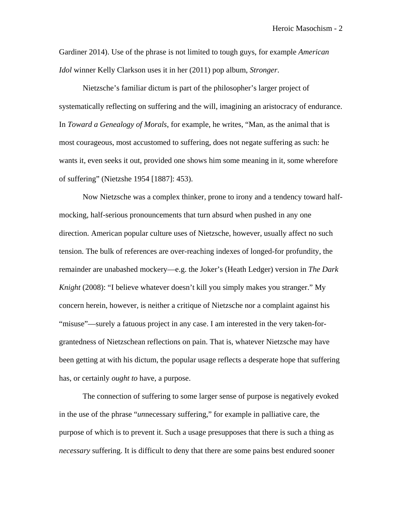Gardiner 2014). Use of the phrase is not limited to tough guys, for example *American Idol* winner Kelly Clarkson uses it in her (2011) pop album, *Stronger*.

Nietzsche's familiar dictum is part of the philosopher's larger project of systematically reflecting on suffering and the will, imagining an aristocracy of endurance. In *Toward a Genealogy of Morals*, for example, he writes, "Man, as the animal that is most courageous, most accustomed to suffering, does not negate suffering as such: he wants it, even seeks it out, provided one shows him some meaning in it, some wherefore of suffering" (Nietzshe 1954 [1887]: 453).

Now Nietzsche was a complex thinker, prone to irony and a tendency toward halfmocking, half-serious pronouncements that turn absurd when pushed in any one direction. American popular culture uses of Nietzsche, however, usually affect no such tension. The bulk of references are over-reaching indexes of longed-for profundity, the remainder are unabashed mockery—e.g. the Joker's (Heath Ledger) version in *The Dark Knight* (2008): "I believe whatever doesn't kill you simply makes you stranger." My concern herein, however, is neither a critique of Nietzsche nor a complaint against his "misuse"—surely a fatuous project in any case. I am interested in the very taken-forgrantedness of Nietzschean reflections on pain. That is, whatever Nietzsche may have been getting at with his dictum, the popular usage reflects a desperate hope that suffering has, or certainly *ought to* have, a purpose.

The connection of suffering to some larger sense of purpose is negatively evoked in the use of the phrase "*un*necessary suffering," for example in palliative care, the purpose of which is to prevent it. Such a usage presupposes that there is such a thing as *necessary* suffering. It is difficult to deny that there are some pains best endured sooner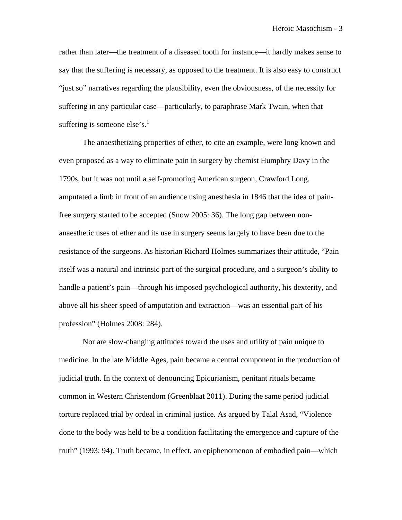rather than later—the treatment of a diseased tooth for instance—it hardly makes sense to say that the suffering is necessary, as opposed to the treatment. It is also easy to construct "just so" narratives regarding the plausibility, even the obviousness, of the necessity for suffering in any particular case—particularly, to paraphrase Mark Twain, when that suffering is someone else's. $<sup>1</sup>$ </sup>

The anaesthetizing properties of ether, to cite an example, were long known and even proposed as a way to eliminate pain in surgery by chemist Humphry Davy in the 1790s, but it was not until a self-promoting American surgeon, Crawford Long, amputated a limb in front of an audience using anesthesia in 1846 that the idea of painfree surgery started to be accepted (Snow 2005: 36). The long gap between nonanaesthetic uses of ether and its use in surgery seems largely to have been due to the resistance of the surgeons. As historian Richard Holmes summarizes their attitude, "Pain itself was a natural and intrinsic part of the surgical procedure, and a surgeon's ability to handle a patient's pain—through his imposed psychological authority, his dexterity, and above all his sheer speed of amputation and extraction—was an essential part of his profession" (Holmes 2008: 284).

Nor are slow-changing attitudes toward the uses and utility of pain unique to medicine. In the late Middle Ages, pain became a central component in the production of judicial truth. In the context of denouncing Epicurianism, penitant rituals became common in Western Christendom (Greenblaat 2011). During the same period judicial torture replaced trial by ordeal in criminal justice. As argued by Talal Asad, "Violence done to the body was held to be a condition facilitating the emergence and capture of the truth" (1993: 94). Truth became, in effect, an epiphenomenon of embodied pain—which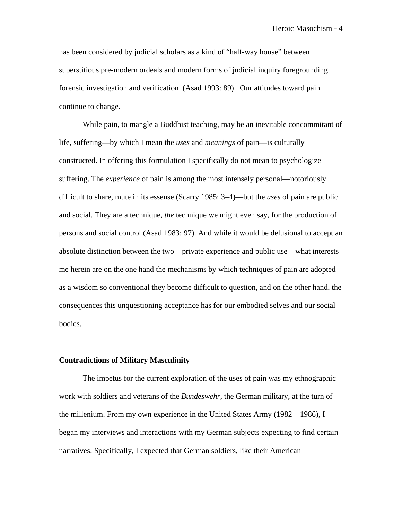has been considered by judicial scholars as a kind of "half-way house" between superstitious pre-modern ordeals and modern forms of judicial inquiry foregrounding forensic investigation and verification (Asad 1993: 89). Our attitudes toward pain continue to change.

While pain, to mangle a Buddhist teaching, may be an inevitable concommitant of life, suffering—by which I mean the *uses* and *meanings* of pain—is culturally constructed. In offering this formulation I specifically do not mean to psychologize suffering. The *experience* of pain is among the most intensely personal—notoriously difficult to share, mute in its essense (Scarry 1985: 3–4)—but the *uses* of pain are public and social. They are a technique, *the* technique we might even say, for the production of persons and social control (Asad 1983: 97). And while it would be delusional to accept an absolute distinction between the two—private experience and public use—what interests me herein are on the one hand the mechanisms by which techniques of pain are adopted as a wisdom so conventional they become difficult to question, and on the other hand, the consequences this unquestioning acceptance has for our embodied selves and our social bodies.

## **Contradictions of Military Masculinity**

The impetus for the current exploration of the uses of pain was my ethnographic work with soldiers and veterans of the *Bundeswehr*, the German military, at the turn of the millenium. From my own experience in the United States Army (1982 – 1986), I began my interviews and interactions with my German subjects expecting to find certain narratives. Specifically, I expected that German soldiers, like their American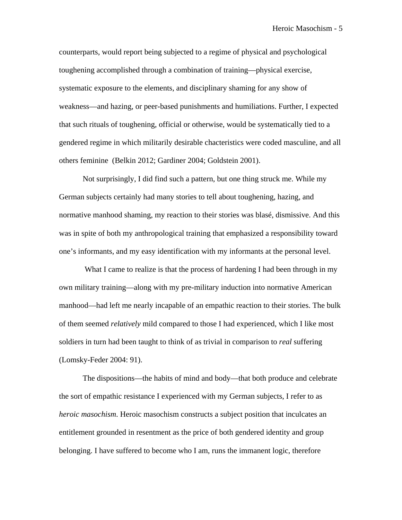counterparts, would report being subjected to a regime of physical and psychological toughening accomplished through a combination of training—physical exercise, systematic exposure to the elements, and disciplinary shaming for any show of weakness—and hazing, or peer-based punishments and humiliations. Further, I expected that such rituals of toughening, official or otherwise, would be systematically tied to a gendered regime in which militarily desirable chacteristics were coded masculine, and all others feminine (Belkin 2012; Gardiner 2004; Goldstein 2001).

Not surprisingly, I did find such a pattern, but one thing struck me. While my German subjects certainly had many stories to tell about toughening, hazing, and normative manhood shaming, my reaction to their stories was blasé, dismissive. And this was in spite of both my anthropological training that emphasized a responsibility toward one's informants, and my easy identification with my informants at the personal level.

What I came to realize is that the process of hardening I had been through in my own military training—along with my pre-military induction into normative American manhood—had left me nearly incapable of an empathic reaction to their stories. The bulk of them seemed *relatively* mild compared to those I had experienced, which I like most soldiers in turn had been taught to think of as trivial in comparison to *real* suffering (Lomsky-Feder 2004: 91).

The dispositions—the habits of mind and body—that both produce and celebrate the sort of empathic resistance I experienced with my German subjects, I refer to as *heroic masochism*. Heroic masochism constructs a subject position that inculcates an entitlement grounded in resentment as the price of both gendered identity and group belonging. I have suffered to become who I am, runs the immanent logic, therefore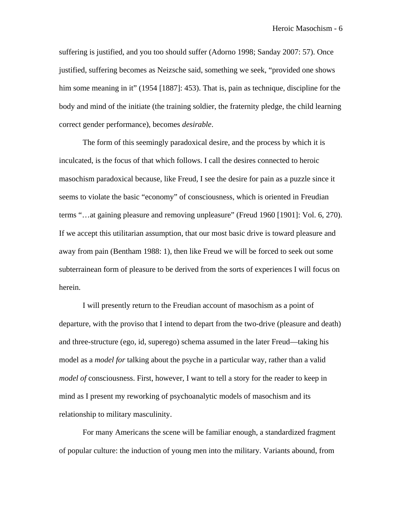suffering is justified, and you too should suffer (Adorno 1998; Sanday 2007: 57). Once justified, suffering becomes as Neizsche said, something we seek, "provided one shows him some meaning in it" (1954 [1887]: 453). That is, pain as technique, discipline for the body and mind of the initiate (the training soldier, the fraternity pledge, the child learning correct gender performance), becomes *desirable*.

The form of this seemingly paradoxical desire, and the process by which it is inculcated, is the focus of that which follows. I call the desires connected to heroic masochism paradoxical because, like Freud, I see the desire for pain as a puzzle since it seems to violate the basic "economy" of consciousness, which is oriented in Freudian terms "…at gaining pleasure and removing unpleasure" (Freud 1960 [1901]: Vol. 6, 270). If we accept this utilitarian assumption, that our most basic drive is toward pleasure and away from pain (Bentham 1988: 1), then like Freud we will be forced to seek out some subterrainean form of pleasure to be derived from the sorts of experiences I will focus on herein.

I will presently return to the Freudian account of masochism as a point of departure, with the proviso that I intend to depart from the two-drive (pleasure and death) and three-structure (ego, id, superego) schema assumed in the later Freud—taking his model as a *model for* talking about the psyche in a particular way, rather than a valid *model of* consciousness. First, however, I want to tell a story for the reader to keep in mind as I present my reworking of psychoanalytic models of masochism and its relationship to military masculinity.

For many Americans the scene will be familiar enough, a standardized fragment of popular culture: the induction of young men into the military. Variants abound, from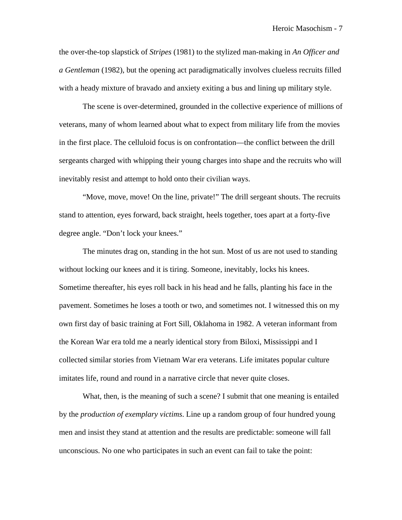the over-the-top slapstick of *Stripes* (1981) to the stylized man-making in *An Officer and a Gentleman* (1982), but the opening act paradigmatically involves clueless recruits filled with a heady mixture of bravado and anxiety exiting a bus and lining up military style.

The scene is over-determined, grounded in the collective experience of millions of veterans, many of whom learned about what to expect from military life from the movies in the first place. The celluloid focus is on confrontation—the conflict between the drill sergeants charged with whipping their young charges into shape and the recruits who will inevitably resist and attempt to hold onto their civilian ways.

"Move, move, move! On the line, private!" The drill sergeant shouts. The recruits stand to attention, eyes forward, back straight, heels together, toes apart at a forty-five degree angle. "Don't lock your knees."

The minutes drag on, standing in the hot sun. Most of us are not used to standing without locking our knees and it is tiring. Someone, inevitably, locks his knees. Sometime thereafter, his eyes roll back in his head and he falls, planting his face in the pavement. Sometimes he loses a tooth or two, and sometimes not. I witnessed this on my own first day of basic training at Fort Sill, Oklahoma in 1982. A veteran informant from the Korean War era told me a nearly identical story from Biloxi, Mississippi and I collected similar stories from Vietnam War era veterans. Life imitates popular culture imitates life, round and round in a narrative circle that never quite closes.

What, then, is the meaning of such a scene? I submit that one meaning is entailed by the *production of exemplary victims*. Line up a random group of four hundred young men and insist they stand at attention and the results are predictable: someone will fall unconscious. No one who participates in such an event can fail to take the point: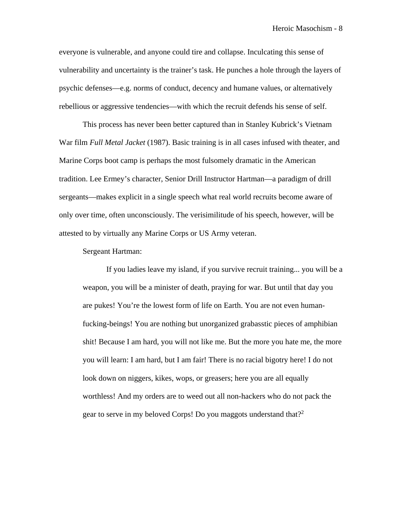everyone is vulnerable, and anyone could tire and collapse. Inculcating this sense of vulnerability and uncertainty is the trainer's task. He punches a hole through the layers of psychic defenses—e.g. norms of conduct, decency and humane values, or alternatively rebellious or aggressive tendencies—with which the recruit defends his sense of self.

This process has never been better captured than in Stanley Kubrick's Vietnam War film *Full Metal Jacket* (1987). Basic training is in all cases infused with theater, and Marine Corps boot camp is perhaps the most fulsomely dramatic in the American tradition. Lee Ermey's character, Senior Drill Instructor Hartman—a paradigm of drill sergeants—makes explicit in a single speech what real world recruits become aware of only over time, often unconsciously. The verisimilitude of his speech, however, will be attested to by virtually any Marine Corps or US Army veteran.

#### Sergeant Hartman:

If you ladies leave my island, if you survive recruit training... you will be a weapon, you will be a minister of death, praying for war. But until that day you are pukes! You're the lowest form of life on Earth. You are not even humanfucking-beings! You are nothing but unorganized grabasstic pieces of amphibian shit! Because I am hard, you will not like me. But the more you hate me, the more you will learn: I am hard, but I am fair! There is no racial bigotry here! I do not look down on niggers, kikes, wops, or greasers; here you are all equally worthless! And my orders are to weed out all non-hackers who do not pack the gear to serve in my beloved Corps! Do you maggots understand that?<sup>2</sup>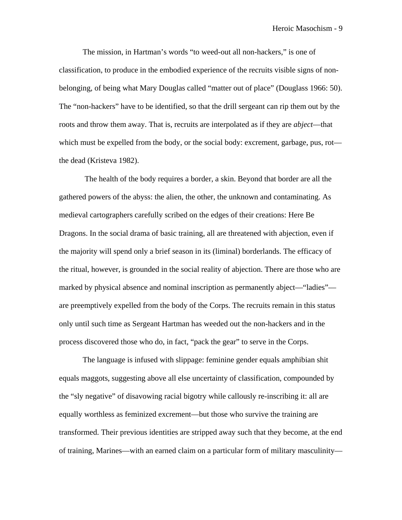The mission, in Hartman's words "to weed-out all non-hackers," is one of classification, to produce in the embodied experience of the recruits visible signs of nonbelonging, of being what Mary Douglas called "matter out of place" (Douglass 1966: 50). The "non-hackers" have to be identified, so that the drill sergeant can rip them out by the roots and throw them away. That is, recruits are interpolated as if they are *abject*—that which must be expelled from the body, or the social body: excrement, garbage, pus, rot the dead (Kristeva 1982).

 The health of the body requires a border, a skin. Beyond that border are all the gathered powers of the abyss: the alien, the other, the unknown and contaminating. As medieval cartographers carefully scribed on the edges of their creations: Here Be Dragons. In the social drama of basic training, all are threatened with abjection, even if the majority will spend only a brief season in its (liminal) borderlands. The efficacy of the ritual, however, is grounded in the social reality of abjection. There are those who are marked by physical absence and nominal inscription as permanently abject—"ladies" are preemptively expelled from the body of the Corps. The recruits remain in this status only until such time as Sergeant Hartman has weeded out the non-hackers and in the process discovered those who do, in fact, "pack the gear" to serve in the Corps.

The language is infused with slippage: feminine gender equals amphibian shit equals maggots, suggesting above all else uncertainty of classification, compounded by the "sly negative" of disavowing racial bigotry while callously re-inscribing it: all are equally worthless as feminized excrement—but those who survive the training are transformed. Their previous identities are stripped away such that they become, at the end of training, Marines—with an earned claim on a particular form of military masculinity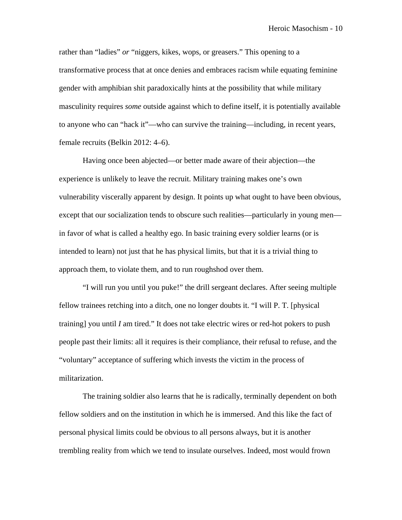rather than "ladies" *or* "niggers, kikes, wops, or greasers." This opening to a transformative process that at once denies and embraces racism while equating feminine gender with amphibian shit paradoxically hints at the possibility that while military masculinity requires *some* outside against which to define itself, it is potentially available to anyone who can "hack it"—who can survive the training—including, in recent years, female recruits (Belkin 2012: 4–6).

Having once been abjected—or better made aware of their abjection—the experience is unlikely to leave the recruit. Military training makes one's own vulnerability viscerally apparent by design. It points up what ought to have been obvious, except that our socialization tends to obscure such realities—particularly in young men in favor of what is called a healthy ego. In basic training every soldier learns (or is intended to learn) not just that he has physical limits, but that it is a trivial thing to approach them, to violate them, and to run roughshod over them.

"I will run you until you puke!" the drill sergeant declares. After seeing multiple fellow trainees retching into a ditch, one no longer doubts it. "I will P. T. [physical training] you until *I* am tired." It does not take electric wires or red-hot pokers to push people past their limits: all it requires is their compliance, their refusal to refuse, and the "voluntary" acceptance of suffering which invests the victim in the process of militarization.

The training soldier also learns that he is radically, terminally dependent on both fellow soldiers and on the institution in which he is immersed. And this like the fact of personal physical limits could be obvious to all persons always, but it is another trembling reality from which we tend to insulate ourselves. Indeed, most would frown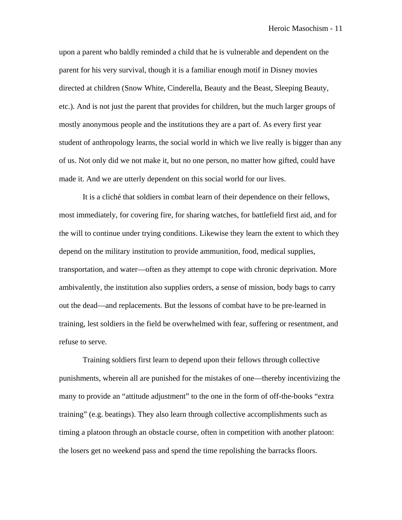upon a parent who baldly reminded a child that he is vulnerable and dependent on the parent for his very survival, though it is a familiar enough motif in Disney movies directed at children (Snow White, Cinderella, Beauty and the Beast, Sleeping Beauty, etc.). And is not just the parent that provides for children, but the much larger groups of mostly anonymous people and the institutions they are a part of. As every first year student of anthropology learns, the social world in which we live really is bigger than any of us. Not only did we not make it, but no one person, no matter how gifted, could have made it. And we are utterly dependent on this social world for our lives.

It is a cliché that soldiers in combat learn of their dependence on their fellows, most immediately, for covering fire, for sharing watches, for battlefield first aid, and for the will to continue under trying conditions. Likewise they learn the extent to which they depend on the military institution to provide ammunition, food, medical supplies, transportation, and water—often as they attempt to cope with chronic deprivation. More ambivalently, the institution also supplies orders, a sense of mission, body bags to carry out the dead—and replacements. But the lessons of combat have to be pre-learned in training, lest soldiers in the field be overwhelmed with fear, suffering or resentment, and refuse to serve.

Training soldiers first learn to depend upon their fellows through collective punishments, wherein all are punished for the mistakes of one—thereby incentivizing the many to provide an "attitude adjustment" to the one in the form of off-the-books "extra training" (e.g. beatings). They also learn through collective accomplishments such as timing a platoon through an obstacle course, often in competition with another platoon: the losers get no weekend pass and spend the time repolishing the barracks floors.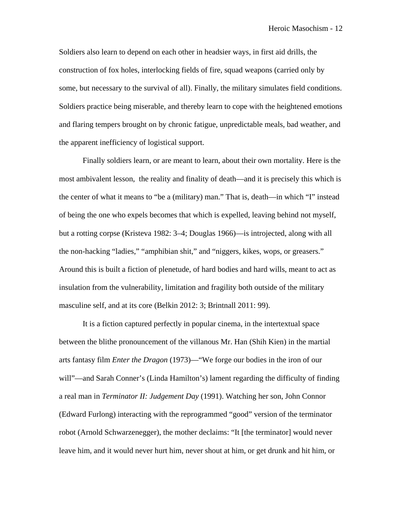Soldiers also learn to depend on each other in headsier ways, in first aid drills, the construction of fox holes, interlocking fields of fire, squad weapons (carried only by some, but necessary to the survival of all). Finally, the military simulates field conditions. Soldiers practice being miserable, and thereby learn to cope with the heightened emotions and flaring tempers brought on by chronic fatigue, unpredictable meals, bad weather, and the apparent inefficiency of logistical support.

Finally soldiers learn, or are meant to learn, about their own mortality. Here is the most ambivalent lesson, the reality and finality of death—and it is precisely this which is the center of what it means to "be a (military) man." That is, death—in which "I" instead of being the one who expels becomes that which is expelled, leaving behind not myself, but a rotting corpse (Kristeva 1982: 3–4; Douglas 1966)—is introjected, along with all the non-hacking "ladies," "amphibian shit," and "niggers, kikes, wops, or greasers." Around this is built a fiction of plenetude, of hard bodies and hard wills, meant to act as insulation from the vulnerability, limitation and fragility both outside of the military masculine self, and at its core (Belkin 2012: 3; Brintnall 2011: 99).

It is a fiction captured perfectly in popular cinema, in the intertextual space between the blithe pronouncement of the villanous Mr. Han (Shih Kien) in the martial arts fantasy film *Enter the Dragon* (1973)—"We forge our bodies in the iron of our will"—and Sarah Conner's (Linda Hamilton's) lament regarding the difficulty of finding a real man in *Terminator II: Judgement Day* (1991). Watching her son, John Connor (Edward Furlong) interacting with the reprogrammed "good" version of the terminator robot (Arnold Schwarzenegger), the mother declaims: "It [the terminator] would never leave him, and it would never hurt him, never shout at him, or get drunk and hit him, or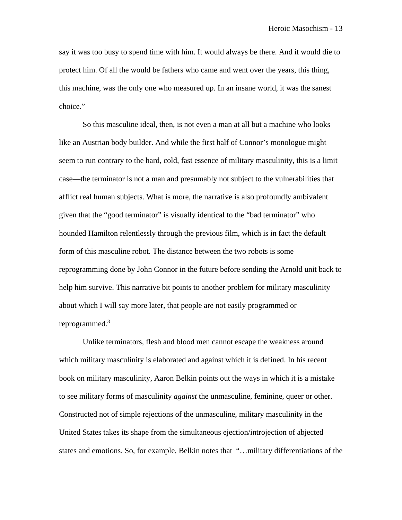say it was too busy to spend time with him. It would always be there. And it would die to protect him. Of all the would be fathers who came and went over the years, this thing, this machine, was the only one who measured up. In an insane world, it was the sanest choice."

 So this masculine ideal, then, is not even a man at all but a machine who looks like an Austrian body builder. And while the first half of Connor's monologue might seem to run contrary to the hard, cold, fast essence of military masculinity, this is a limit case—the terminator is not a man and presumably not subject to the vulnerabilities that afflict real human subjects. What is more, the narrative is also profoundly ambivalent given that the "good terminator" is visually identical to the "bad terminator" who hounded Hamilton relentlessly through the previous film, which is in fact the default form of this masculine robot. The distance between the two robots is some reprogramming done by John Connor in the future before sending the Arnold unit back to help him survive. This narrative bit points to another problem for military masculinity about which I will say more later, that people are not easily programmed or reprogrammed.<sup>3</sup>

Unlike terminators, flesh and blood men cannot escape the weakness around which military masculinity is elaborated and against which it is defined. In his recent book on military masculinity, Aaron Belkin points out the ways in which it is a mistake to see military forms of masculinity *against* the unmasculine, feminine, queer or other. Constructed not of simple rejections of the unmasculine, military masculinity in the United States takes its shape from the simultaneous ejection/introjection of abjected states and emotions. So, for example, Belkin notes that "…military differentiations of the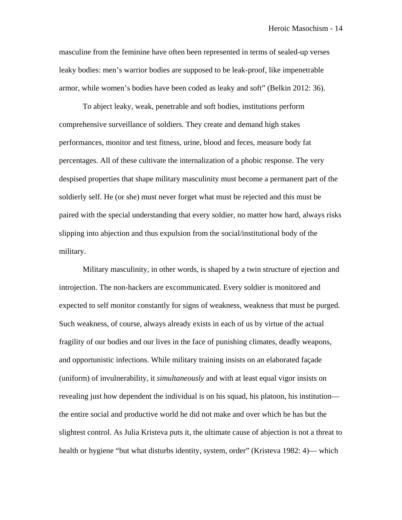masculine from the feminine have often been represented in terms of sealed-up verses leaky bodies: men's warrior bodies are supposed to be leak-proof, like impenetrable armor, while women's bodies have been coded as leaky and soft" (Belkin 2012: 36).

To abject leaky, weak, penetrable and soft bodies, institutions perform comprehensive surveillance of soldiers. They create and demand high stakes performances, monitor and test fitness, urine, blood and feces, measure body fat percentages. All of these cultivate the internalization of a phobic response. The very despised properties that shape military masculinity must become a permanent part of the soldierly self. He (or she) must never forget what must be rejected and this must be paired with the special understanding that every soldier, no matter how hard, always risks slipping into abjection and thus expulsion from the social/institutional body of the military.

Military masculinity, in other words, is shaped by a twin structure of ejection and introjection. The non-hackers are excommunicated. Every soldier is monitored and expected to self monitor constantly for signs of weakness, weakness that must be purged. Such weakness, of course, always already exists in each of us by virtue of the actual fragility of our bodies and our lives in the face of punishing climates, deadly weapons, and opportunistic infections. While military training insists on an elaborated façade (uniform) of invulnerability, it *simultaneously* and with at least equal vigor insists on revealing just how dependent the individual is on his squad, his platoon, his institution the entire social and productive world he did not make and over which he has but the slightest control. As Julia Kristeva puts it, the ultimate cause of abjection is not a threat to health or hygiene "but what disturbs identity, system, order" (Kristeva 1982: 4)— which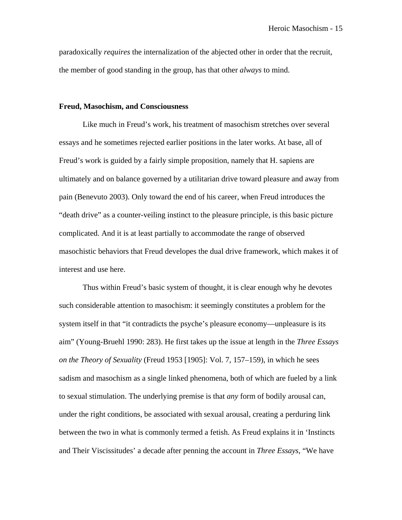paradoxically *requires* the internalization of the abjected other in order that the recruit, the member of good standing in the group, has that other *always* to mind.

## **Freud, Masochism, and Consciousness**

Like much in Freud's work, his treatment of masochism stretches over several essays and he sometimes rejected earlier positions in the later works. At base, all of Freud's work is guided by a fairly simple proposition, namely that H. sapiens are ultimately and on balance governed by a utilitarian drive toward pleasure and away from pain (Benevuto 2003). Only toward the end of his career, when Freud introduces the "death drive" as a counter-veiling instinct to the pleasure principle, is this basic picture complicated. And it is at least partially to accommodate the range of observed masochistic behaviors that Freud developes the dual drive framework, which makes it of interest and use here.

Thus within Freud's basic system of thought, it is clear enough why he devotes such considerable attention to masochism: it seemingly constitutes a problem for the system itself in that "it contradicts the psyche's pleasure economy—unpleasure is its aim" (Young-Bruehl 1990: 283). He first takes up the issue at length in the *Three Essays on the Theory of Sexuality* (Freud 1953 [1905]: Vol. 7, 157–159), in which he sees sadism and masochism as a single linked phenomena, both of which are fueled by a link to sexual stimulation. The underlying premise is that *any* form of bodily arousal can, under the right conditions, be associated with sexual arousal, creating a perduring link between the two in what is commonly termed a fetish. As Freud explains it in 'Instincts and Their Viscissitudes' a decade after penning the account in *Three Essays*, "We have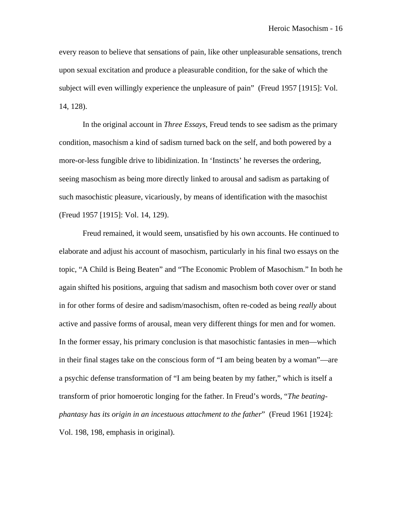every reason to believe that sensations of pain, like other unpleasurable sensations, trench upon sexual excitation and produce a pleasurable condition, for the sake of which the subject will even willingly experience the unpleasure of pain" (Freud 1957 [1915]: Vol. 14, 128).

In the original account in *Three Essays*, Freud tends to see sadism as the primary condition, masochism a kind of sadism turned back on the self, and both powered by a more-or-less fungible drive to libidinization. In 'Instincts' he reverses the ordering, seeing masochism as being more directly linked to arousal and sadism as partaking of such masochistic pleasure, vicariously, by means of identification with the masochist (Freud 1957 [1915]: Vol. 14, 129).

Freud remained, it would seem, unsatisfied by his own accounts. He continued to elaborate and adjust his account of masochism, particularly in his final two essays on the topic, "A Child is Being Beaten" and "The Economic Problem of Masochism." In both he again shifted his positions, arguing that sadism and masochism both cover over or stand in for other forms of desire and sadism/masochism, often re-coded as being *really* about active and passive forms of arousal, mean very different things for men and for women. In the former essay, his primary conclusion is that masochistic fantasies in men—which in their final stages take on the conscious form of "I am being beaten by a woman"—are a psychic defense transformation of "I am being beaten by my father," which is itself a transform of prior homoerotic longing for the father. In Freud's words, "*The beatingphantasy has its origin in an incestuous attachment to the father*" (Freud 1961 [1924]: Vol. 198, 198, emphasis in original).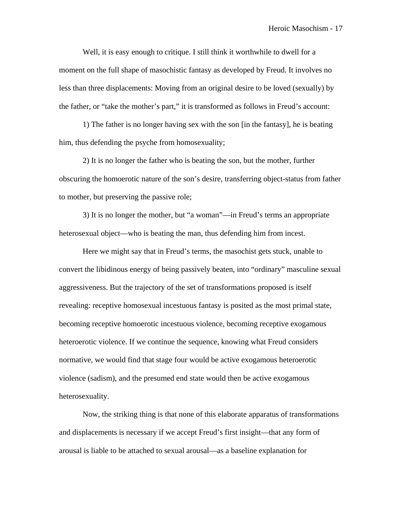Well, it is easy enough to critique. I still think it worthwhile to dwell for a moment on the full shape of masochistic fantasy as developed by Freud. It involves no less than three displacements: Moving from an original desire to be loved (sexually) by the father, or "take the mother's part," it is transformed as follows in Freud's account:

1) The father is no longer having sex with the son [in the fantasy], he is beating him, thus defending the psyche from homosexuality;

2) It is no longer the father who is beating the son, but the mother, further obscuring the homoerotic nature of the son's desire, transferring object-status from father to mother, but preserving the passive role;

3) It is no longer the mother, but "a woman"—in Freud's terms an appropriate heterosexual object—who is beating the man, thus defending him from incest.

Here we might say that in Freud's terms, the masochist gets stuck, unable to convert the libidinous energy of being passively beaten, into "ordinary" masculine sexual aggressiveness. But the trajectory of the set of transformations proposed is itself revealing: receptive homosexual incestuous fantasy is posited as the most primal state, becoming receptive homoerotic incestuous violence, becoming receptive exogamous heteroerotic violence. If we continue the sequence, knowing what Freud considers normative, we would find that stage four would be active exogamous heteroerotic violence (sadism), and the presumed end state would then be active exogamous heterosexuality.

Now, the striking thing is that none of this elaborate apparatus of transformations and displacements is necessary if we accept Freud's first insight—that any form of arousal is liable to be attached to sexual arousal—as a baseline explanation for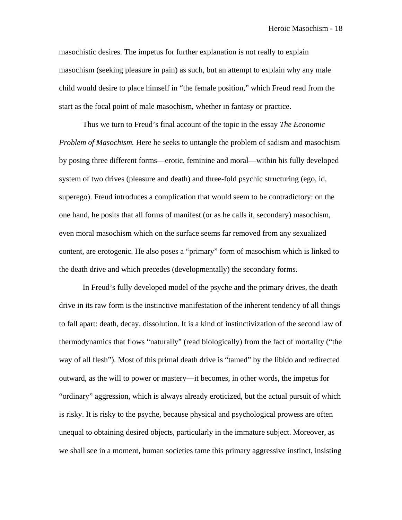masochistic desires. The impetus for further explanation is not really to explain masochism (seeking pleasure in pain) as such, but an attempt to explain why any male child would desire to place himself in "the female position," which Freud read from the start as the focal point of male masochism, whether in fantasy or practice.

Thus we turn to Freud's final account of the topic in the essay *The Economic Problem of Masochism.* Here he seeks to untangle the problem of sadism and masochism by posing three different forms—erotic, feminine and moral—within his fully developed system of two drives (pleasure and death) and three-fold psychic structuring (ego, id, superego). Freud introduces a complication that would seem to be contradictory: on the one hand, he posits that all forms of manifest (or as he calls it, secondary) masochism, even moral masochism which on the surface seems far removed from any sexualized content, are erotogenic. He also poses a "primary" form of masochism which is linked to the death drive and which precedes (developmentally) the secondary forms.

In Freud's fully developed model of the psyche and the primary drives, the death drive in its raw form is the instinctive manifestation of the inherent tendency of all things to fall apart: death, decay, dissolution. It is a kind of instinctivization of the second law of thermodynamics that flows "naturally" (read biologically) from the fact of mortality ("the way of all flesh"). Most of this primal death drive is "tamed" by the libido and redirected outward, as the will to power or mastery—it becomes, in other words, the impetus for "ordinary" aggression, which is always already eroticized, but the actual pursuit of which is risky. It is risky to the psyche, because physical and psychological prowess are often unequal to obtaining desired objects, particularly in the immature subject. Moreover, as we shall see in a moment, human societies tame this primary aggressive instinct, insisting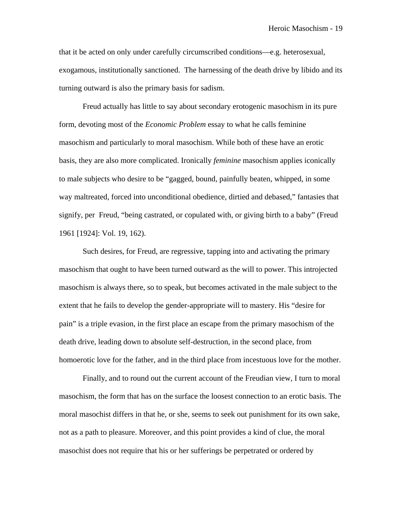that it be acted on only under carefully circumscribed conditions—e.g. heterosexual, exogamous, institutionally sanctioned. The harnessing of the death drive by libido and its turning outward is also the primary basis for sadism.

Freud actually has little to say about secondary erotogenic masochism in its pure form, devoting most of the *Economic Problem* essay to what he calls feminine masochism and particularly to moral masochism. While both of these have an erotic basis, they are also more complicated. Ironically *feminine* masochism applies iconically to male subjects who desire to be "gagged, bound, painfully beaten, whipped, in some way maltreated, forced into unconditional obedience, dirtied and debased," fantasies that signify, per Freud, "being castrated, or copulated with, or giving birth to a baby" (Freud 1961 [1924]: Vol. 19, 162).

Such desires, for Freud, are regressive, tapping into and activating the primary masochism that ought to have been turned outward as the will to power. This introjected masochism is always there, so to speak, but becomes activated in the male subject to the extent that he fails to develop the gender-appropriate will to mastery. His "desire for pain" is a triple evasion, in the first place an escape from the primary masochism of the death drive, leading down to absolute self-destruction, in the second place, from homoerotic love for the father, and in the third place from incestuous love for the mother.

Finally, and to round out the current account of the Freudian view, I turn to moral masochism, the form that has on the surface the loosest connection to an erotic basis. The moral masochist differs in that he, or she, seems to seek out punishment for its own sake, not as a path to pleasure. Moreover, and this point provides a kind of clue, the moral masochist does not require that his or her sufferings be perpetrated or ordered by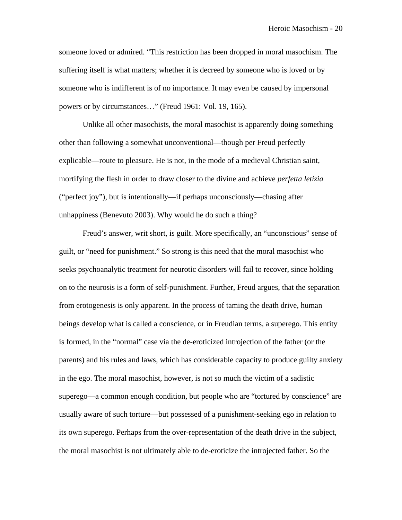someone loved or admired. "This restriction has been dropped in moral masochism. The suffering itself is what matters; whether it is decreed by someone who is loved or by someone who is indifferent is of no importance. It may even be caused by impersonal powers or by circumstances…" (Freud 1961: Vol. 19, 165).

Unlike all other masochists, the moral masochist is apparently doing something other than following a somewhat unconventional—though per Freud perfectly explicable—route to pleasure. He is not, in the mode of a medieval Christian saint, mortifying the flesh in order to draw closer to the divine and achieve *perfetta letizia*  ("perfect joy"), but is intentionally—if perhaps unconsciously—chasing after unhappiness (Benevuto 2003). Why would he do such a thing?

Freud's answer, writ short, is guilt. More specifically, an "unconscious" sense of guilt, or "need for punishment." So strong is this need that the moral masochist who seeks psychoanalytic treatment for neurotic disorders will fail to recover, since holding on to the neurosis is a form of self-punishment. Further, Freud argues, that the separation from erotogenesis is only apparent. In the process of taming the death drive, human beings develop what is called a conscience, or in Freudian terms, a superego. This entity is formed, in the "normal" case via the de-eroticized introjection of the father (or the parents) and his rules and laws, which has considerable capacity to produce guilty anxiety in the ego. The moral masochist, however, is not so much the victim of a sadistic superego—a common enough condition, but people who are "tortured by conscience" are usually aware of such torture—but possessed of a punishment-seeking ego in relation to its own superego. Perhaps from the over-representation of the death drive in the subject, the moral masochist is not ultimately able to de-eroticize the introjected father. So the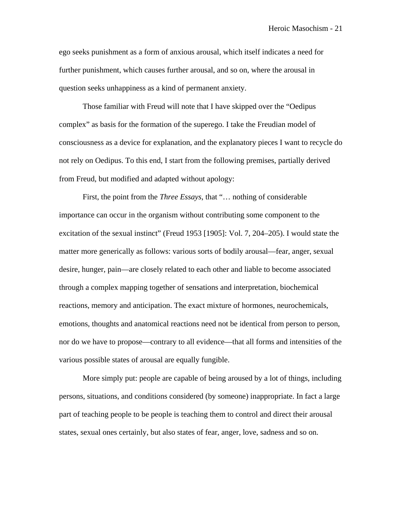ego seeks punishment as a form of anxious arousal, which itself indicates a need for further punishment, which causes further arousal, and so on, where the arousal in question seeks unhappiness as a kind of permanent anxiety.

Those familiar with Freud will note that I have skipped over the "Oedipus complex" as basis for the formation of the superego. I take the Freudian model of consciousness as a device for explanation, and the explanatory pieces I want to recycle do not rely on Oedipus. To this end, I start from the following premises, partially derived from Freud, but modified and adapted without apology:

First, the point from the *Three Essays*, that "… nothing of considerable importance can occur in the organism without contributing some component to the excitation of the sexual instinct" (Freud 1953 [1905]: Vol. 7, 204–205). I would state the matter more generically as follows: various sorts of bodily arousal—fear, anger, sexual desire, hunger, pain—are closely related to each other and liable to become associated through a complex mapping together of sensations and interpretation, biochemical reactions, memory and anticipation. The exact mixture of hormones, neurochemicals, emotions, thoughts and anatomical reactions need not be identical from person to person, nor do we have to propose—contrary to all evidence—that all forms and intensities of the various possible states of arousal are equally fungible.

More simply put: people are capable of being aroused by a lot of things, including persons, situations, and conditions considered (by someone) inappropriate. In fact a large part of teaching people to be people is teaching them to control and direct their arousal states, sexual ones certainly, but also states of fear, anger, love, sadness and so on.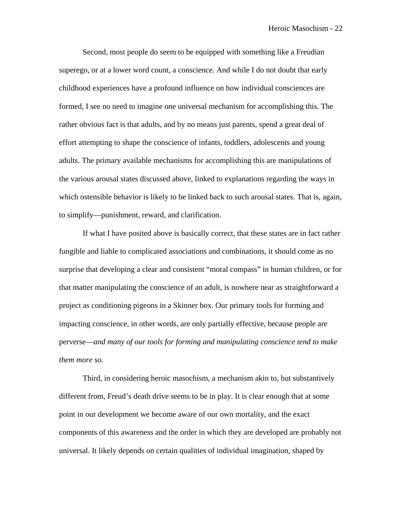Second, most people do seem to be equipped with something like a Freudian superego, or at a lower word count, a conscience. And while I do not doubt that early childhood experiences have a profound influence on how individual consciences are formed, I see no need to imagine one universal mechanism for accomplishing this. The rather obvious fact is that adults, and by no means just parents, spend a great deal of effort attempting to shape the conscience of infants, toddlers, adolescents and young adults. The primary available mechanisms for accomplishing this are manipulations of the various arousal states discussed above, linked to explanations regarding the ways in which ostensible behavior is likely to be linked back to such arousal states. That is, again, to simplify—punishment, reward, and clarification.

If what I have posited above is basically correct, that these states are in fact rather fungible and liable to complicated associations and combinations, it should come as no surprise that developing a clear and consistent "moral compass" in human children, or for that matter manipulating the conscience of an adult, is nowhere near as straightforward a project as conditioning pigeons in a Skinner box. Our primary tools for forming and impacting conscience, in other words, are only partially effective, because people are perverse—*and many of our tools for forming and manipulating conscience tend to make them more so.*

Third, in considering heroic masochism, a mechanism akin to, but substantively different from, Freud's death drive seems to be in play. It is clear enough that at some point in our development we become aware of our own mortality, and the exact components of this awareness and the order in which they are developed are probably not universal. It likely depends on certain qualities of individual imagination, shaped by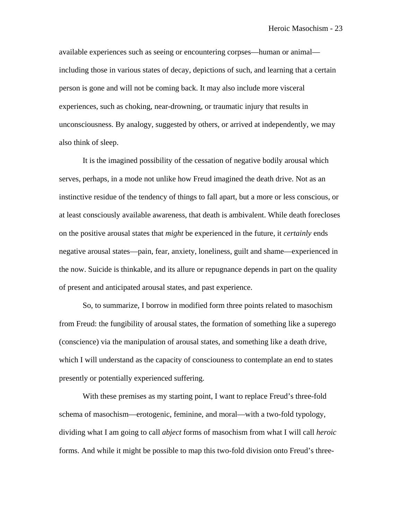available experiences such as seeing or encountering corpses—human or animal including those in various states of decay, depictions of such, and learning that a certain person is gone and will not be coming back. It may also include more visceral experiences, such as choking, near-drowning, or traumatic injury that results in unconsciousness. By analogy, suggested by others, or arrived at independently, we may also think of sleep.

It is the imagined possibility of the cessation of negative bodily arousal which serves, perhaps, in a mode not unlike how Freud imagined the death drive. Not as an instinctive residue of the tendency of things to fall apart, but a more or less conscious, or at least consciously available awareness, that death is ambivalent. While death forecloses on the positive arousal states that *might* be experienced in the future, it *certainly* ends negative arousal states—pain, fear, anxiety, loneliness, guilt and shame—experienced in the now. Suicide is thinkable, and its allure or repugnance depends in part on the quality of present and anticipated arousal states, and past experience.

So, to summarize, I borrow in modified form three points related to masochism from Freud: the fungibility of arousal states, the formation of something like a superego (conscience) via the manipulation of arousal states, and something like a death drive, which I will understand as the capacity of consciouness to contemplate an end to states presently or potentially experienced suffering.

With these premises as my starting point, I want to replace Freud's three-fold schema of masochism—erotogenic, feminine, and moral—with a two-fold typology, dividing what I am going to call *abject* forms of masochism from what I will call *heroic*  forms. And while it might be possible to map this two-fold division onto Freud's three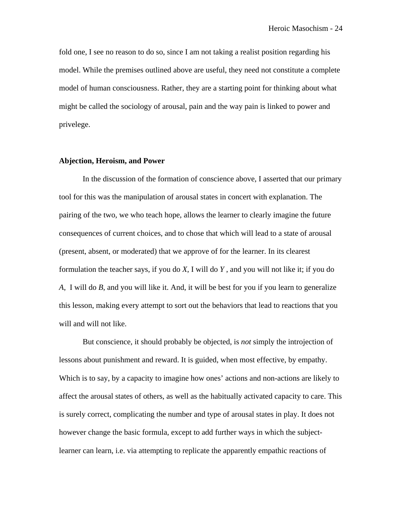fold one, I see no reason to do so, since I am not taking a realist position regarding his model. While the premises outlined above are useful, they need not constitute a complete model of human consciousness. Rather, they are a starting point for thinking about what might be called the sociology of arousal, pain and the way pain is linked to power and privelege.

#### **Abjection, Heroism, and Power**

In the discussion of the formation of conscience above, I asserted that our primary tool for this was the manipulation of arousal states in concert with explanation. The pairing of the two, we who teach hope, allows the learner to clearly imagine the future consequences of current choices, and to chose that which will lead to a state of arousal (present, absent, or moderated) that we approve of for the learner. In its clearest formulation the teacher says, if you do *X*, I will do *Y* , and you will not like it; if you do *A*, I will do *B*, and you will like it. And, it will be best for you if you learn to generalize this lesson, making every attempt to sort out the behaviors that lead to reactions that you will and will not like.

But conscience, it should probably be objected, is *not* simply the introjection of lessons about punishment and reward. It is guided, when most effective, by empathy. Which is to say, by a capacity to imagine how ones' actions and non-actions are likely to affect the arousal states of others, as well as the habitually activated capacity to care. This is surely correct, complicating the number and type of arousal states in play. It does not however change the basic formula, except to add further ways in which the subjectlearner can learn, i.e. via attempting to replicate the apparently empathic reactions of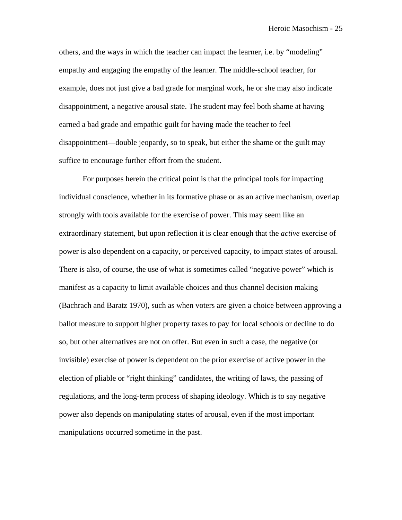others, and the ways in which the teacher can impact the learner, i.e. by "modeling" empathy and engaging the empathy of the learner. The middle-school teacher, for example, does not just give a bad grade for marginal work, he or she may also indicate disappointment, a negative arousal state. The student may feel both shame at having earned a bad grade and empathic guilt for having made the teacher to feel disappointment—double jeopardy, so to speak, but either the shame or the guilt may suffice to encourage further effort from the student.

For purposes herein the critical point is that the principal tools for impacting individual conscience, whether in its formative phase or as an active mechanism, overlap strongly with tools available for the exercise of power. This may seem like an extraordinary statement, but upon reflection it is clear enough that the *active* exercise of power is also dependent on a capacity, or perceived capacity, to impact states of arousal. There is also, of course, the use of what is sometimes called "negative power" which is manifest as a capacity to limit available choices and thus channel decision making (Bachrach and Baratz 1970), such as when voters are given a choice between approving a ballot measure to support higher property taxes to pay for local schools or decline to do so, but other alternatives are not on offer. But even in such a case, the negative (or invisible) exercise of power is dependent on the prior exercise of active power in the election of pliable or "right thinking" candidates, the writing of laws, the passing of regulations, and the long-term process of shaping ideology. Which is to say negative power also depends on manipulating states of arousal, even if the most important manipulations occurred sometime in the past.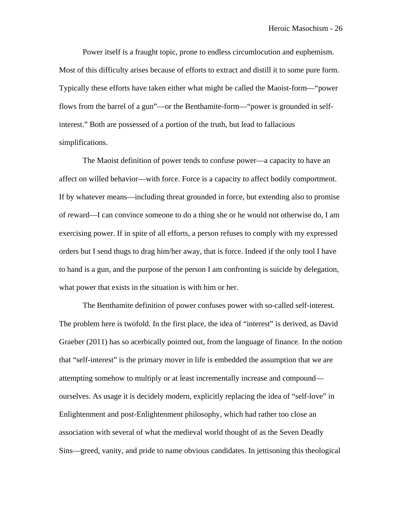Power itself is a fraught topic, prone to endless circumlocution and euphemism. Most of this difficulty arises because of efforts to extract and distill it to some pure form. Typically these efforts have taken either what might be called the Maoist-form—"power flows from the barrel of a gun"—or the Benthamite-form—"power is grounded in selfinterest." Both are possessed of a portion of the truth, but lead to fallacious simplifications.

The Maoist definition of power tends to confuse power—a capacity to have an affect on willed behavior—with force. Force is a capacity to affect bodily comportment. If by whatever means—including threat grounded in force, but extending also to promise of reward—I can convince someone to do a thing she or he would not otherwise do, I am exercising power. If in spite of all efforts, a person refuses to comply with my expressed orders but I send thugs to drag him/her away, that is force. Indeed if the only tool I have to hand is a gun, and the purpose of the person I am confronting is suicide by delegation, what power that exists in the situation is with him or her.

The Benthamite definition of power confuses power with so-called self-interest. The problem here is twofold. In the first place, the idea of "interest" is derived, as David Graeber (2011) has so acerbically pointed out, from the language of finance. In the notion that "self-interest" is the primary mover in life is embedded the assumption that we are attempting somehow to multiply or at least incrementally increase and compound ourselves. As usage it is decidely modern, explicitly replacing the idea of "self-love" in Enlightenment and post-Enlightenment philosophy, which had rather too close an association with several of what the medieval world thought of as the Seven Deadly Sins—greed, vanity, and pride to name obvious candidates. In jettisoning this theological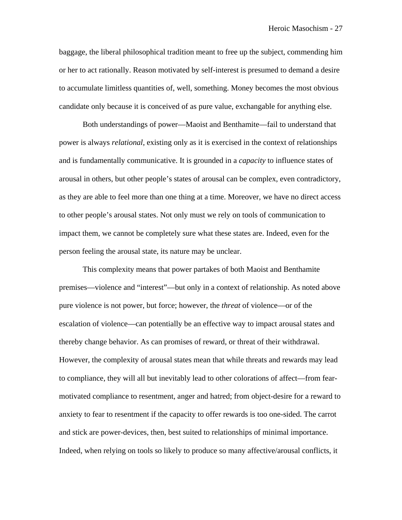baggage, the liberal philosophical tradition meant to free up the subject, commending him or her to act rationally. Reason motivated by self-interest is presumed to demand a desire to accumulate limitless quantities of, well, something. Money becomes the most obvious candidate only because it is conceived of as pure value, exchangable for anything else.

Both understandings of power—Maoist and Benthamite—fail to understand that power is always *relational*, existing only as it is exercised in the context of relationships and is fundamentally communicative. It is grounded in a *capacity* to influence states of arousal in others, but other people's states of arousal can be complex, even contradictory, as they are able to feel more than one thing at a time. Moreover, we have no direct access to other people's arousal states. Not only must we rely on tools of communication to impact them, we cannot be completely sure what these states are. Indeed, even for the person feeling the arousal state, its nature may be unclear.

This complexity means that power partakes of both Maoist and Benthamite premises—violence and "interest"—but only in a context of relationship. As noted above pure violence is not power, but force; however, the *threat* of violence—or of the escalation of violence—can potentially be an effective way to impact arousal states and thereby change behavior. As can promises of reward, or threat of their withdrawal. However, the complexity of arousal states mean that while threats and rewards may lead to compliance, they will all but inevitably lead to other colorations of affect—from fearmotivated compliance to resentment, anger and hatred; from object-desire for a reward to anxiety to fear to resentment if the capacity to offer rewards is too one-sided. The carrot and stick are power-devices, then, best suited to relationships of minimal importance. Indeed, when relying on tools so likely to produce so many affective/arousal conflicts, it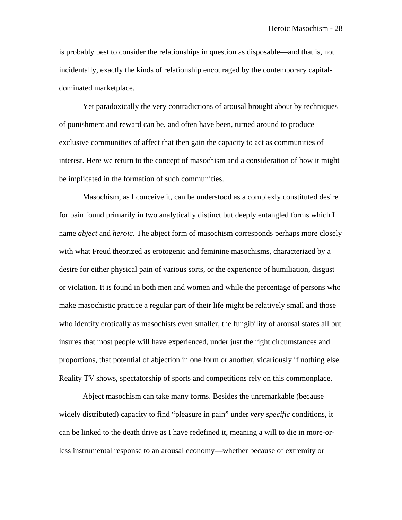is probably best to consider the relationships in question as disposable—and that is, not incidentally, exactly the kinds of relationship encouraged by the contemporary capitaldominated marketplace.

Yet paradoxically the very contradictions of arousal brought about by techniques of punishment and reward can be, and often have been, turned around to produce exclusive communities of affect that then gain the capacity to act as communities of interest. Here we return to the concept of masochism and a consideration of how it might be implicated in the formation of such communities.

Masochism, as I conceive it, can be understood as a complexly constituted desire for pain found primarily in two analytically distinct but deeply entangled forms which I name *abject* and *heroic*. The abject form of masochism corresponds perhaps more closely with what Freud theorized as erotogenic and feminine masochisms, characterized by a desire for either physical pain of various sorts, or the experience of humiliation, disgust or violation. It is found in both men and women and while the percentage of persons who make masochistic practice a regular part of their life might be relatively small and those who identify erotically as masochists even smaller, the fungibility of arousal states all but insures that most people will have experienced, under just the right circumstances and proportions, that potential of abjection in one form or another, vicariously if nothing else. Reality TV shows, spectatorship of sports and competitions rely on this commonplace.

Abject masochism can take many forms. Besides the unremarkable (because widely distributed) capacity to find "pleasure in pain" under *very specific* conditions, it can be linked to the death drive as I have redefined it, meaning a will to die in more-orless instrumental response to an arousal economy—whether because of extremity or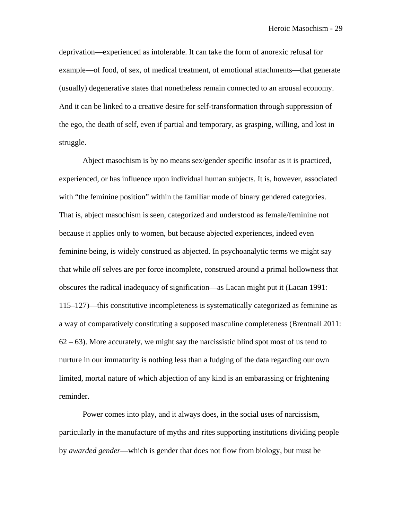deprivation—experienced as intolerable. It can take the form of anorexic refusal for example—of food, of sex, of medical treatment, of emotional attachments—that generate (usually) degenerative states that nonetheless remain connected to an arousal economy. And it can be linked to a creative desire for self-transformation through suppression of the ego, the death of self, even if partial and temporary, as grasping, willing, and lost in struggle.

Abject masochism is by no means sex/gender specific insofar as it is practiced, experienced, or has influence upon individual human subjects. It is, however, associated with "the feminine position" within the familiar mode of binary gendered categories. That is, abject masochism is seen, categorized and understood as female/feminine not because it applies only to women, but because abjected experiences, indeed even feminine being, is widely construed as abjected. In psychoanalytic terms we might say that while *all* selves are per force incomplete, construed around a primal hollowness that obscures the radical inadequacy of signification—as Lacan might put it (Lacan 1991: 115–127)—this constitutive incompleteness is systematically categorized as feminine as a way of comparatively constituting a supposed masculine completeness (Brentnall 2011:  $62 - 63$ ). More accurately, we might say the narcissistic blind spot most of us tend to nurture in our immaturity is nothing less than a fudging of the data regarding our own limited, mortal nature of which abjection of any kind is an embarassing or frightening reminder.

Power comes into play, and it always does, in the social uses of narcissism, particularly in the manufacture of myths and rites supporting institutions dividing people by *awarded gender*—which is gender that does not flow from biology, but must be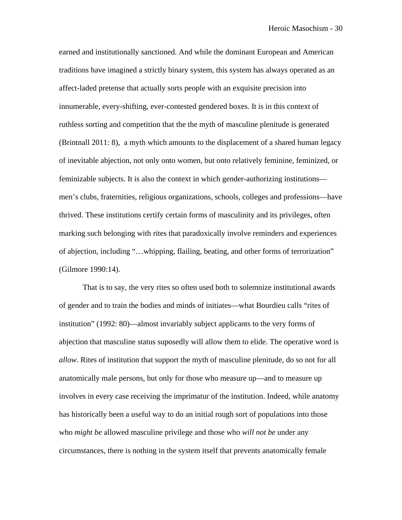earned and institutionally sanctioned. And while the dominant European and American traditions have imagined a strictly binary system, this system has always operated as an affect-laded pretense that actually sorts people with an exquisite precision into innumerable, every-shifting, ever-contested gendered boxes. It is in this context of ruthless sorting and competition that the the myth of masculine plenitude is generated (Brintnall 2011: 8), a myth which amounts to the displacement of a shared human legacy of inevitable abjection, not only onto women, but onto relatively feminine, feminized, or feminizable subjects. It is also the context in which gender-authorizing institutions men's clubs, fraternities, religious organizations, schools, colleges and professions—have thrived. These institutions certify certain forms of masculinity and its privileges, often marking such belonging with rites that paradoxically involve reminders and experiences of abjection, including "…whipping, flailing, beating, and other forms of terrorization" (Gilmore 1990:14).

That is to say, the very rites so often used both to solemnize institutional awards of gender and to train the bodies and minds of initiates—what Bourdieu calls "rites of institution" (1992: 80)—almost invariably subject applicants to the very forms of abjection that masculine status suposedly will allow them to elide. The operative word is *allow*. Rites of institution that support the myth of masculine plenitude, do so not for all anatomically male persons, but only for those who measure up—and to measure up involves in every case receiving the imprimatur of the institution. Indeed, while anatomy has historically been a useful way to do an initial rough sort of populations into those who *might be* allowed masculine privilege and those who *will not be* under any circumstances, there is nothing in the system itself that prevents anatomically female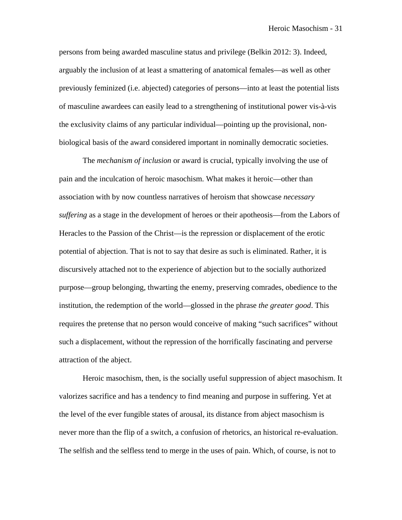persons from being awarded masculine status and privilege (Belkin 2012: 3). Indeed, arguably the inclusion of at least a smattering of anatomical females—as well as other previously feminized (i.e. abjected) categories of persons—into at least the potential lists of masculine awardees can easily lead to a strengthening of institutional power vis-à-vis the exclusivity claims of any particular individual—pointing up the provisional, nonbiological basis of the award considered important in nominally democratic societies.

The *mechanism of inclusion* or award is crucial, typically involving the use of pain and the inculcation of heroic masochism. What makes it heroic—other than association with by now countless narratives of heroism that showcase *necessary suffering* as a stage in the development of heroes or their apotheosis—from the Labors of Heracles to the Passion of the Christ—is the repression or displacement of the erotic potential of abjection. That is not to say that desire as such is eliminated. Rather, it is discursively attached not to the experience of abjection but to the socially authorized purpose—group belonging, thwarting the enemy, preserving comrades, obedience to the institution, the redemption of the world—glossed in the phrase *the greater good*. This requires the pretense that no person would conceive of making "such sacrifices" without such a displacement, without the repression of the horrifically fascinating and perverse attraction of the abject.

Heroic masochism, then, is the socially useful suppression of abject masochism. It valorizes sacrifice and has a tendency to find meaning and purpose in suffering. Yet at the level of the ever fungible states of arousal, its distance from abject masochism is never more than the flip of a switch, a confusion of rhetorics, an historical re-evaluation. The selfish and the selfless tend to merge in the uses of pain. Which, of course, is not to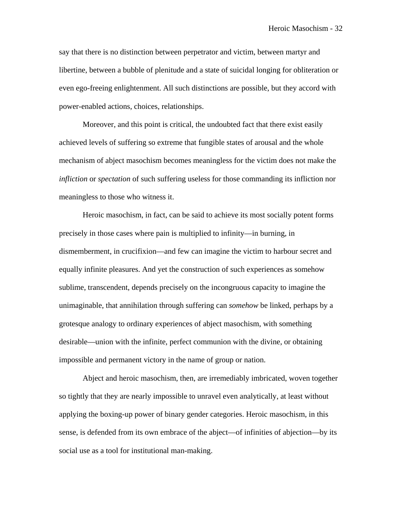say that there is no distinction between perpetrator and victim, between martyr and libertine, between a bubble of plenitude and a state of suicidal longing for obliteration or even ego-freeing enlightenment. All such distinctions are possible, but they accord with power-enabled actions, choices, relationships.

Moreover, and this point is critical, the undoubted fact that there exist easily achieved levels of suffering so extreme that fungible states of arousal and the whole mechanism of abject masochism becomes meaningless for the victim does not make the *infliction* or *spectation* of such suffering useless for those commanding its infliction nor meaningless to those who witness it.

Heroic masochism, in fact, can be said to achieve its most socially potent forms precisely in those cases where pain is multiplied to infinity—in burning, in dismemberment, in crucifixion—and few can imagine the victim to harbour secret and equally infinite pleasures. And yet the construction of such experiences as somehow sublime, transcendent, depends precisely on the incongruous capacity to imagine the unimaginable, that annihilation through suffering can *somehow* be linked, perhaps by a grotesque analogy to ordinary experiences of abject masochism, with something desirable—union with the infinite, perfect communion with the divine, or obtaining impossible and permanent victory in the name of group or nation.

Abject and heroic masochism, then, are irremediably imbricated, woven together so tightly that they are nearly impossible to unravel even analytically, at least without applying the boxing-up power of binary gender categories. Heroic masochism, in this sense, is defended from its own embrace of the abject—of infinities of abjection—by its social use as a tool for institutional man-making.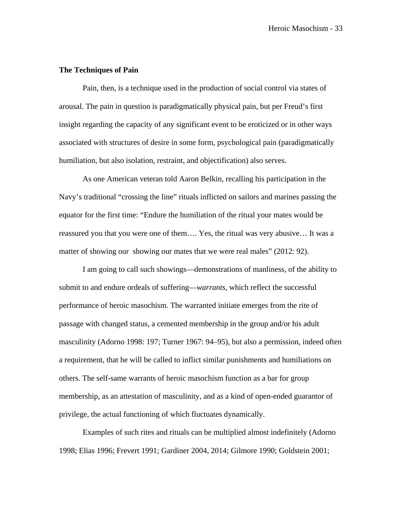## **The Techniques of Pain**

Pain, then, is a technique used in the production of social control via states of arousal. The pain in question is paradigmatically physical pain, but per Freud's first insight regarding the capacity of any significant event to be eroticized or in other ways associated with structures of desire in some form, psychological pain (paradigmatically humiliation, but also isolation, restraint, and objectification) also serves.

As one American veteran told Aaron Belkin, recalling his participation in the Navy's traditional "crossing the line" rituals inflicted on sailors and marines passing the equator for the first time: "Endure the humiliation of the ritual your mates would be reassured you that you were one of them…. Yes, the ritual was very abusive… It was a matter of showing our showing our mates that we were real males" (2012: 92).

I am going to call such showings—demonstrations of manliness, of the ability to submit to and endure ordeals of suffering—*warrants*, which reflect the successful performance of heroic masochism. The warranted initiate emerges from the rite of passage with changed status, a cemented membership in the group and/or his adult masculinity (Adorno 1998: 197; Turner 1967: 94–95), but also a permission, indeed often a requirement, that he will be called to inflict similar punishments and humiliations on others. The self-same warrants of heroic masochism function as a bar for group membership, as an attestation of masculinity, and as a kind of open-ended guarantor of privilege, the actual functioning of which fluctuates dynamically.

Examples of such rites and rituals can be multiplied almost indefinitely (Adorno 1998; Elias 1996; Frevert 1991; Gardiner 2004, 2014; Gilmore 1990; Goldstein 2001;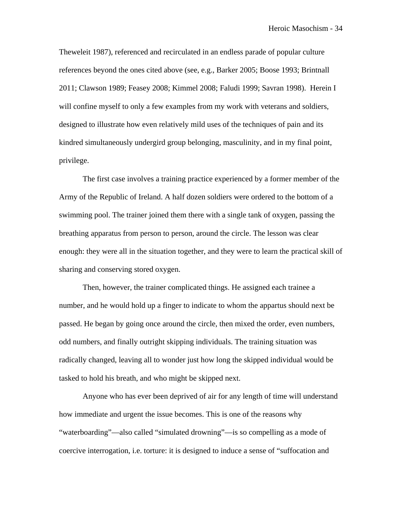Theweleit 1987), referenced and recirculated in an endless parade of popular culture references beyond the ones cited above (see, e.g., Barker 2005; Boose 1993; Brintnall 2011; Clawson 1989; Feasey 2008; Kimmel 2008; Faludi 1999; Savran 1998). Herein I will confine myself to only a few examples from my work with veterans and soldiers, designed to illustrate how even relatively mild uses of the techniques of pain and its kindred simultaneously undergird group belonging, masculinity, and in my final point, privilege.

The first case involves a training practice experienced by a former member of the Army of the Republic of Ireland. A half dozen soldiers were ordered to the bottom of a swimming pool. The trainer joined them there with a single tank of oxygen, passing the breathing apparatus from person to person, around the circle. The lesson was clear enough: they were all in the situation together, and they were to learn the practical skill of sharing and conserving stored oxygen.

Then, however, the trainer complicated things. He assigned each trainee a number, and he would hold up a finger to indicate to whom the appartus should next be passed. He began by going once around the circle, then mixed the order, even numbers, odd numbers, and finally outright skipping individuals. The training situation was radically changed, leaving all to wonder just how long the skipped individual would be tasked to hold his breath, and who might be skipped next.

Anyone who has ever been deprived of air for any length of time will understand how immediate and urgent the issue becomes. This is one of the reasons why "waterboarding"—also called "simulated drowning"—is so compelling as a mode of coercive interrogation, i.e. torture: it is designed to induce a sense of "suffocation and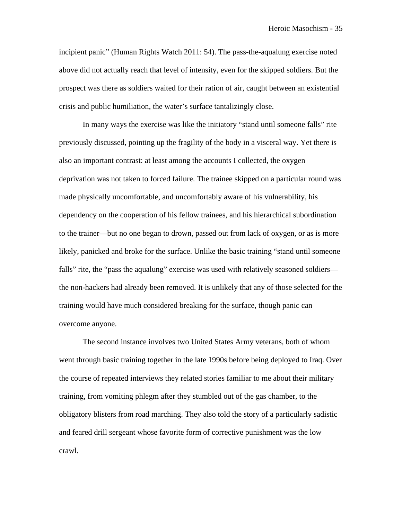incipient panic" (Human Rights Watch 2011: 54). The pass-the-aqualung exercise noted above did not actually reach that level of intensity, even for the skipped soldiers. But the prospect was there as soldiers waited for their ration of air, caught between an existential crisis and public humiliation, the water's surface tantalizingly close.

In many ways the exercise was like the initiatory "stand until someone falls" rite previously discussed, pointing up the fragility of the body in a visceral way. Yet there is also an important contrast: at least among the accounts I collected, the oxygen deprivation was not taken to forced failure. The trainee skipped on a particular round was made physically uncomfortable, and uncomfortably aware of his vulnerability, his dependency on the cooperation of his fellow trainees, and his hierarchical subordination to the trainer—but no one began to drown, passed out from lack of oxygen, or as is more likely, panicked and broke for the surface. Unlike the basic training "stand until someone falls" rite, the "pass the aqualung" exercise was used with relatively seasoned soldiers the non-hackers had already been removed. It is unlikely that any of those selected for the training would have much considered breaking for the surface, though panic can overcome anyone.

The second instance involves two United States Army veterans, both of whom went through basic training together in the late 1990s before being deployed to Iraq. Over the course of repeated interviews they related stories familiar to me about their military training, from vomiting phlegm after they stumbled out of the gas chamber, to the obligatory blisters from road marching. They also told the story of a particularly sadistic and feared drill sergeant whose favorite form of corrective punishment was the low crawl.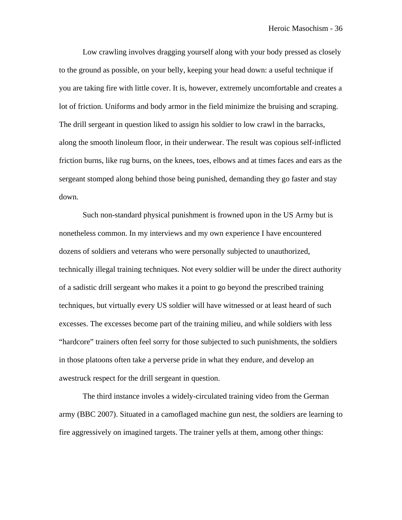Low crawling involves dragging yourself along with your body pressed as closely to the ground as possible, on your belly, keeping your head down: a useful technique if you are taking fire with little cover. It is, however, extremely uncomfortable and creates a lot of friction. Uniforms and body armor in the field minimize the bruising and scraping. The drill sergeant in question liked to assign his soldier to low crawl in the barracks, along the smooth linoleum floor, in their underwear. The result was copious self-inflicted friction burns, like rug burns, on the knees, toes, elbows and at times faces and ears as the sergeant stomped along behind those being punished, demanding they go faster and stay down.

Such non-standard physical punishment is frowned upon in the US Army but is nonetheless common. In my interviews and my own experience I have encountered dozens of soldiers and veterans who were personally subjected to unauthorized, technically illegal training techniques. Not every soldier will be under the direct authority of a sadistic drill sergeant who makes it a point to go beyond the prescribed training techniques, but virtually every US soldier will have witnessed or at least heard of such excesses. The excesses become part of the training milieu, and while soldiers with less "hardcore" trainers often feel sorry for those subjected to such punishments, the soldiers in those platoons often take a perverse pride in what they endure, and develop an awestruck respect for the drill sergeant in question.

The third instance involes a widely-circulated training video from the German army (BBC 2007). Situated in a camoflaged machine gun nest, the soldiers are learning to fire aggressively on imagined targets. The trainer yells at them, among other things: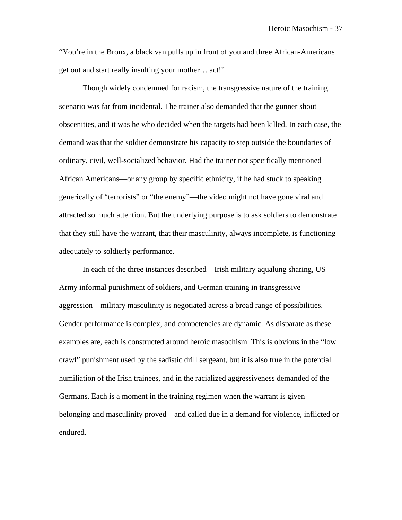"You're in the Bronx, a black van pulls up in front of you and three African-Americans get out and start really insulting your mother… act!"

Though widely condemned for racism, the transgressive nature of the training scenario was far from incidental. The trainer also demanded that the gunner shout obscenities, and it was he who decided when the targets had been killed. In each case, the demand was that the soldier demonstrate his capacity to step outside the boundaries of ordinary, civil, well-socialized behavior. Had the trainer not specifically mentioned African Americans—or any group by specific ethnicity, if he had stuck to speaking generically of "terrorists" or "the enemy"—the video might not have gone viral and attracted so much attention. But the underlying purpose is to ask soldiers to demonstrate that they still have the warrant, that their masculinity, always incomplete, is functioning adequately to soldierly performance.

In each of the three instances described—Irish military aqualung sharing, US Army informal punishment of soldiers, and German training in transgressive aggression—military masculinity is negotiated across a broad range of possibilities. Gender performance is complex, and competencies are dynamic. As disparate as these examples are, each is constructed around heroic masochism. This is obvious in the "low crawl" punishment used by the sadistic drill sergeant, but it is also true in the potential humiliation of the Irish trainees, and in the racialized aggressiveness demanded of the Germans. Each is a moment in the training regimen when the warrant is given belonging and masculinity proved—and called due in a demand for violence, inflicted or endured.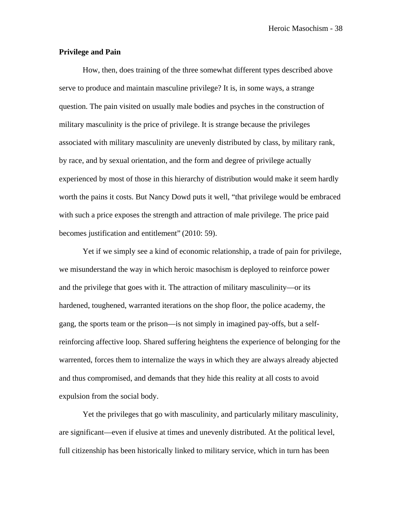## **Privilege and Pain**

How, then, does training of the three somewhat different types described above serve to produce and maintain masculine privilege? It is, in some ways, a strange question. The pain visited on usually male bodies and psyches in the construction of military masculinity is the price of privilege. It is strange because the privileges associated with military masculinity are unevenly distributed by class, by military rank, by race, and by sexual orientation, and the form and degree of privilege actually experienced by most of those in this hierarchy of distribution would make it seem hardly worth the pains it costs. But Nancy Dowd puts it well, "that privilege would be embraced with such a price exposes the strength and attraction of male privilege. The price paid becomes justification and entitlement" (2010: 59).

Yet if we simply see a kind of economic relationship, a trade of pain for privilege, we misunderstand the way in which heroic masochism is deployed to reinforce power and the privilege that goes with it. The attraction of military masculinity—or its hardened, toughened, warranted iterations on the shop floor, the police academy, the gang, the sports team or the prison—is not simply in imagined pay-offs, but a selfreinforcing affective loop. Shared suffering heightens the experience of belonging for the warrented, forces them to internalize the ways in which they are always already abjected and thus compromised, and demands that they hide this reality at all costs to avoid expulsion from the social body.

Yet the privileges that go with masculinity, and particularly military masculinity, are significant—even if elusive at times and unevenly distributed. At the political level, full citizenship has been historically linked to military service, which in turn has been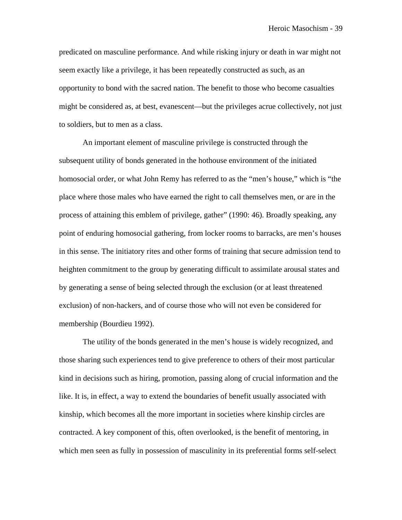predicated on masculine performance. And while risking injury or death in war might not seem exactly like a privilege, it has been repeatedly constructed as such, as an opportunity to bond with the sacred nation. The benefit to those who become casualties might be considered as, at best, evanescent—but the privileges acrue collectively, not just to soldiers, but to men as a class.

An important element of masculine privilege is constructed through the subsequent utility of bonds generated in the hothouse environment of the initiated homosocial order, or what John Remy has referred to as the "men's house," which is "the place where those males who have earned the right to call themselves men, or are in the process of attaining this emblem of privilege, gather" (1990: 46). Broadly speaking, any point of enduring homosocial gathering, from locker rooms to barracks, are men's houses in this sense. The initiatory rites and other forms of training that secure admission tend to heighten commitment to the group by generating difficult to assimilate arousal states and by generating a sense of being selected through the exclusion (or at least threatened exclusion) of non-hackers, and of course those who will not even be considered for membership (Bourdieu 1992).

The utility of the bonds generated in the men's house is widely recognized, and those sharing such experiences tend to give preference to others of their most particular kind in decisions such as hiring, promotion, passing along of crucial information and the like. It is, in effect, a way to extend the boundaries of benefit usually associated with kinship, which becomes all the more important in societies where kinship circles are contracted. A key component of this, often overlooked, is the benefit of mentoring, in which men seen as fully in possession of masculinity in its preferential forms self-select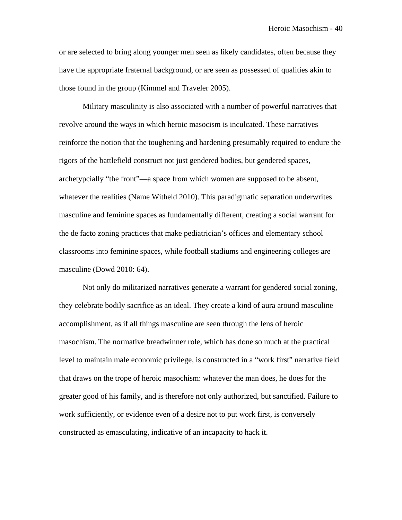or are selected to bring along younger men seen as likely candidates, often because they have the appropriate fraternal background, or are seen as possessed of qualities akin to those found in the group (Kimmel and Traveler 2005).

Military masculinity is also associated with a number of powerful narratives that revolve around the ways in which heroic masocism is inculcated. These narratives reinforce the notion that the toughening and hardening presumably required to endure the rigors of the battlefield construct not just gendered bodies, but gendered spaces, archetypcially "the front"—a space from which women are supposed to be absent, whatever the realities (Name Witheld 2010). This paradigmatic separation underwrites masculine and feminine spaces as fundamentally different, creating a social warrant for the de facto zoning practices that make pediatrician's offices and elementary school classrooms into feminine spaces, while football stadiums and engineering colleges are masculine (Dowd 2010: 64).

Not only do militarized narratives generate a warrant for gendered social zoning, they celebrate bodily sacrifice as an ideal. They create a kind of aura around masculine accomplishment, as if all things masculine are seen through the lens of heroic masochism. The normative breadwinner role, which has done so much at the practical level to maintain male economic privilege, is constructed in a "work first" narrative field that draws on the trope of heroic masochism: whatever the man does, he does for the greater good of his family, and is therefore not only authorized, but sanctified. Failure to work sufficiently, or evidence even of a desire not to put work first, is conversely constructed as emasculating, indicative of an incapacity to hack it.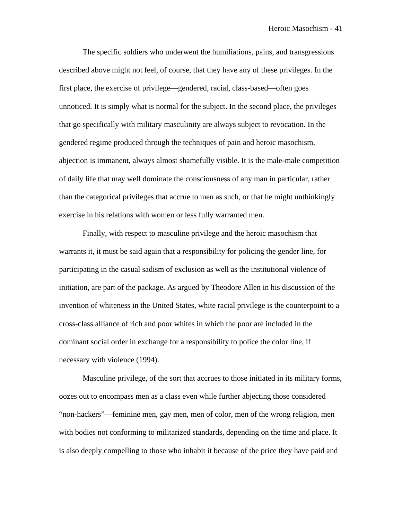The specific soldiers who underwent the humiliations, pains, and transgressions described above might not feel, of course, that they have any of these privileges. In the first place, the exercise of privilege—gendered, racial, class-based—often goes unnoticed. It is simply what is normal for the subject. In the second place, the privileges that go specifically with military masculinity are always subject to revocation. In the gendered regime produced through the techniques of pain and heroic masochism, abjection is immanent, always almost shamefully visible. It is the male-male competition of daily life that may well dominate the consciousness of any man in particular, rather than the categorical privileges that accrue to men as such, or that he might unthinkingly exercise in his relations with women or less fully warranted men.

Finally, with respect to masculine privilege and the heroic masochism that warrants it, it must be said again that a responsibility for policing the gender line, for participating in the casual sadism of exclusion as well as the institutional violence of initiation, are part of the package. As argued by Theodore Allen in his discussion of the invention of whiteness in the United States, white racial privilege is the counterpoint to a cross-class alliance of rich and poor whites in which the poor are included in the dominant social order in exchange for a responsibility to police the color line, if necessary with violence (1994).

Masculine privilege, of the sort that accrues to those initiated in its military forms, oozes out to encompass men as a class even while further abjecting those considered "non-hackers"—feminine men, gay men, men of color, men of the wrong religion, men with bodies not conforming to militarized standards, depending on the time and place. It is also deeply compelling to those who inhabit it because of the price they have paid and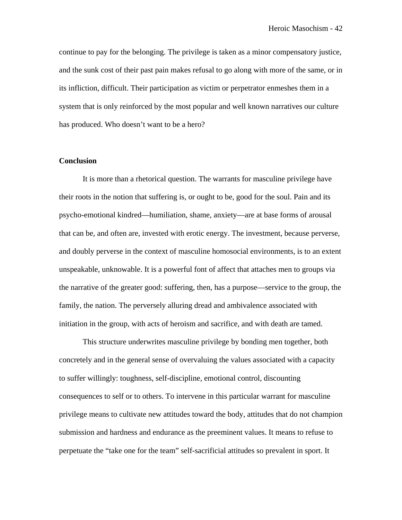continue to pay for the belonging. The privilege is taken as a minor compensatory justice, and the sunk cost of their past pain makes refusal to go along with more of the same, or in its infliction, difficult. Their participation as victim or perpetrator enmeshes them in a system that is only reinforced by the most popular and well known narratives our culture has produced. Who doesn't want to be a hero?

## **Conclusion**

 It is more than a rhetorical question. The warrants for masculine privilege have their roots in the notion that suffering is, or ought to be, good for the soul. Pain and its psycho-emotional kindred—humiliation, shame, anxiety—are at base forms of arousal that can be, and often are, invested with erotic energy. The investment, because perverse, and doubly perverse in the context of masculine homosocial environments, is to an extent unspeakable, unknowable. It is a powerful font of affect that attaches men to groups via the narrative of the greater good: suffering, then, has a purpose—service to the group, the family, the nation. The perversely alluring dread and ambivalence associated with initiation in the group, with acts of heroism and sacrifice, and with death are tamed.

 This structure underwrites masculine privilege by bonding men together, both concretely and in the general sense of overvaluing the values associated with a capacity to suffer willingly: toughness, self-discipline, emotional control, discounting consequences to self or to others. To intervene in this particular warrant for masculine privilege means to cultivate new attitudes toward the body, attitudes that do not champion submission and hardness and endurance as the preeminent values. It means to refuse to perpetuate the "take one for the team" self-sacrificial attitudes so prevalent in sport. It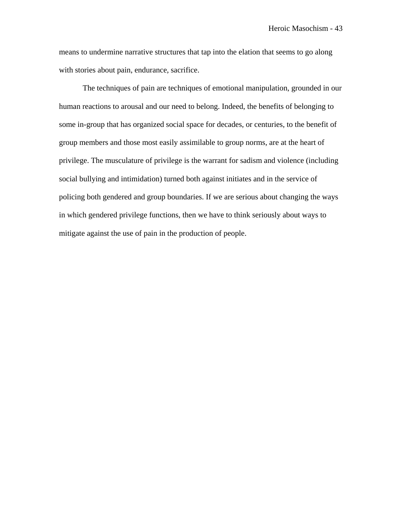means to undermine narrative structures that tap into the elation that seems to go along with stories about pain, endurance, sacrifice.

 The techniques of pain are techniques of emotional manipulation, grounded in our human reactions to arousal and our need to belong. Indeed, the benefits of belonging to some in-group that has organized social space for decades, or centuries, to the benefit of group members and those most easily assimilable to group norms, are at the heart of privilege. The musculature of privilege is the warrant for sadism and violence (including social bullying and intimidation) turned both against initiates and in the service of policing both gendered and group boundaries. If we are serious about changing the ways in which gendered privilege functions, then we have to think seriously about ways to mitigate against the use of pain in the production of people.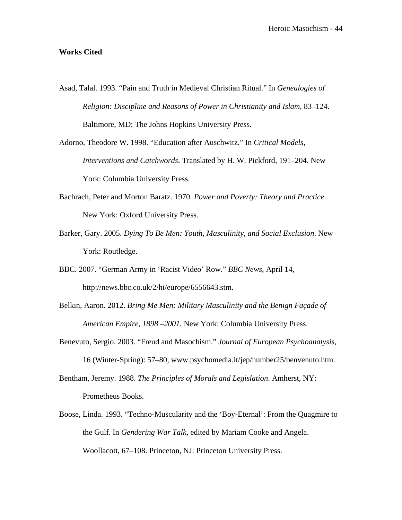#### **Works Cited**

Asad, Talal. 1993. "Pain and Truth in Medieval Christian Ritual." In *Genealogies of Religion: Discipline and Reasons of Power in Christianity and Islam*, 83–124. Baltimore, MD: The Johns Hopkins University Press.

Adorno, Theodore W. 1998. "Education after Auschwitz." In *Critical Models, Interventions and Catchwords*. Translated by H. W. Pickford, 191–204. New York: Columbia University Press.

- Bachrach, Peter and Morton Baratz. 1970. *Power and Poverty: Theory and Practice*. New York: Oxford University Press.
- Barker, Gary. 2005. *Dying To Be Men: Youth, Masculinity, and Social Exclusion*. New York: Routledge.
- BBC. 2007. "German Army in 'Racist Video' Row." *BBC News*, April 14, http://news.bbc.co.uk/2/hi/europe/6556643.stm.
- Belkin, Aaron. 2012. *Bring Me Men: Military Masculinity and the Benign Façade of American Empire, 1898 –2001.* New York: Columbia University Press.
- Benevuto, Sergio. 2003. "Freud and Masochism." *Journal of European Psychoanalysis*, 16 (Winter-Spring): 57–80, www.psychomedia.it/jep/number25/benvenuto.htm.
- Bentham, Jeremy. 1988. *The Principles of Morals and Legislation*. Amherst, NY: Prometheus Books.
- Boose, Linda. 1993. "Techno-Muscularity and the 'Boy-Eternal': From the Quagmire to the Gulf. In *Gendering War Talk*, edited by Mariam Cooke and Angela. Woollacott, 67–108. Princeton, NJ: Princeton University Press.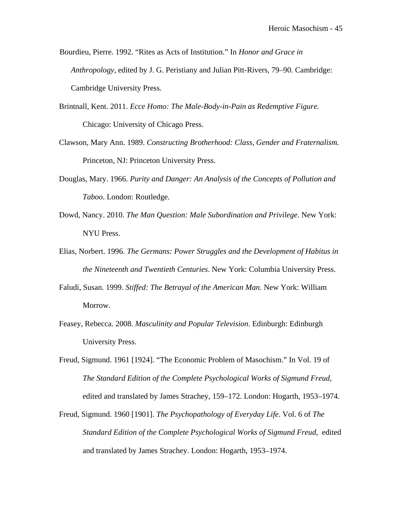- Bourdieu, Pierre. 1992. "Rites as Acts of Institution." In *Honor and Grace in Anthropology*, edited by J. G. Peristiany and Julian Pitt-Rivers, 79–90. Cambridge: Cambridge University Press.
- Brintnall, Kent. 2011. *Ecce Homo: The Male-Body-in-Pain as Redemptive Figure*. Chicago: University of Chicago Press.
- Clawson, Mary Ann. 1989. *Constructing Brotherhood: Class, Gender and Fraternalism.*  Princeton, NJ: Princeton University Press.
- Douglas, Mary. 1966. *Purity and Danger: An Analysis of the Concepts of Pollution and Taboo*. London: Routledge.
- Dowd, Nancy. 2010. *The Man Question: Male Subordination and Privilege.* New York: NYU Press.
- Elias, Norbert. 1996. *The Germans: Power Struggles and the Development of Habitus in the Nineteenth and Twentieth Centuries*. New York: Columbia University Press.
- Faludi, Susan. 1999. *Stiffed: The Betrayal of the American Man.* New York: William Morrow.
- Feasey, Rebecca. 2008. *Masculinity and Popular Television*. Edinburgh: Edinburgh University Press.
- Freud, Sigmund. 1961 [1924]. "The Economic Problem of Masochism." In Vol. 19 of *The Standard Edition of the Complete Psychological Works of Sigmund Freud,* edited and translated by James Strachey, 159–172. London: Hogarth, 1953–1974.
- Freud, Sigmund. 1960 [1901]. *The Psychopathology of Everyday Life*. Vol. 6 of *The Standard Edition of the Complete Psychological Works of Sigmund Freud,* edited and translated by James Strachey. London: Hogarth, 1953–1974.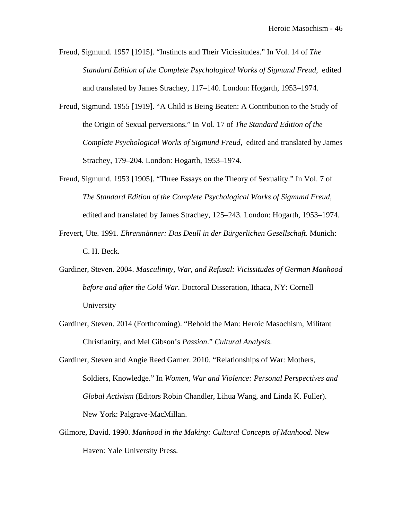- Freud, Sigmund. 1957 [1915]. "Instincts and Their Vicissitudes." In Vol. 14 of *The Standard Edition of the Complete Psychological Works of Sigmund Freud,* edited and translated by James Strachey, 117–140. London: Hogarth, 1953–1974.
- Freud, Sigmund. 1955 [1919]. "A Child is Being Beaten: A Contribution to the Study of the Origin of Sexual perversions." In Vol. 17 of *The Standard Edition of the Complete Psychological Works of Sigmund Freud,* edited and translated by James Strachey, 179–204. London: Hogarth, 1953–1974.
- Freud, Sigmund. 1953 [1905]. "Three Essays on the Theory of Sexuality." In Vol. 7 of *The Standard Edition of the Complete Psychological Works of Sigmund Freud,* edited and translated by James Strachey, 125–243. London: Hogarth, 1953–1974.
- Frevert, Ute. 1991. *Ehrenmänner: Das Deull in der Bürgerlichen Gesellschaft.* Munich: C. H. Beck.
- Gardiner, Steven. 2004. *Masculinity, War, and Refusal: Vicissitudes of German Manhood before and after the Cold War*. Doctoral Disseration, Ithaca, NY: Cornell University
- Gardiner, Steven. 2014 (Forthcoming). "Behold the Man: Heroic Masochism, Militant Christianity, and Mel Gibson's *Passion*." *Cultural Analysis*.
- Gardiner, Steven and Angie Reed Garner. 2010. "Relationships of War: Mothers, Soldiers, Knowledge." In *Women, War and Violence: Personal Perspectives and Global Activism* (Editors Robin Chandler, Lihua Wang, and Linda K. Fuller). New York: Palgrave-MacMillan.
- Gilmore, David. 1990. *Manhood in the Making: Cultural Concepts of Manhood.* New Haven: Yale University Press.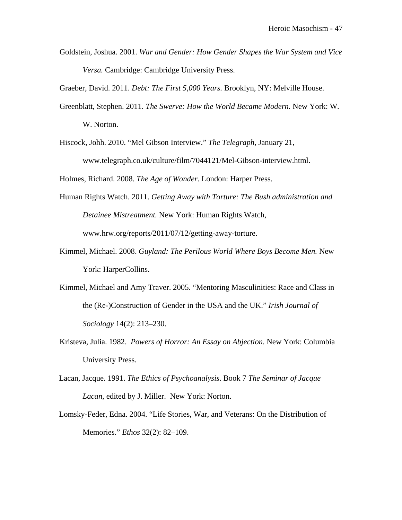Goldstein, Joshua. 2001. *War and Gender: How Gender Shapes the War System and Vice Versa.* Cambridge: Cambridge University Press.

Graeber, David. 2011. *Debt: The First 5,000 Years.* Brooklyn, NY: Melville House.

Greenblatt, Stephen. 2011. *The Swerve: How the World Became Modern.* New York: W. W. Norton.

Hiscock, Johh. 2010. "Mel Gibson Interview." *The Telegraph*, January 21,

www.telegraph.co.uk/culture/film/7044121/Mel-Gibson-interview.html.

Holmes, Richard. 2008. *The Age of Wonder*. London: Harper Press.

- Human Rights Watch. 2011. *Getting Away with Torture: The Bush administration and Detainee Mistreatment.* New York: Human Rights Watch, www.hrw.org/reports/2011/07/12/getting-away-torture.
- Kimmel, Michael. 2008. *Guyland: The Perilous World Where Boys Become Men.* New York: HarperCollins.
- Kimmel, Michael and Amy Traver. 2005. "Mentoring Masculinities: Race and Class in the (Re-)Construction of Gender in the USA and the UK." *Irish Journal of Sociology* 14(2): 213–230.
- Kristeva, Julia. 1982. *Powers of Horror: An Essay on Abjection*. New York: Columbia University Press.
- Lacan, Jacque. 1991. *The Ethics of Psychoanalysis*. Book 7 *The Seminar of Jacque Lacan*, edited by J. Miller. New York: Norton.
- Lomsky-Feder, Edna. 2004. "Life Stories, War, and Veterans: On the Distribution of Memories." *Ethos* 32(2): 82–109.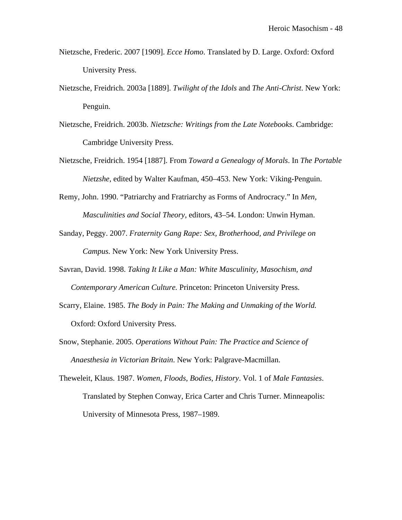- Nietzsche, Frederic. 2007 [1909]. *Ecce Homo*. Translated by D. Large. Oxford: Oxford University Press.
- Nietzsche, Freidrich. 2003a [1889]. *Twilight of the Idols* and *The Anti-Christ*. New York: Penguin.
- Nietzsche, Freidrich. 2003b. *Nietzsche: Writings from the Late Notebooks*. Cambridge: Cambridge University Press.
- Nietzsche, Freidrich. 1954 [1887]. From *Toward a Genealogy of Morals*. In *The Portable Nietzshe*, edited by Walter Kaufman, 450–453. New York: Viking-Penguin.
- Remy, John. 1990. "Patriarchy and Fratriarchy as Forms of Androcracy." In *Men, Masculinities and Social Theory*, editors, 43–54. London: Unwin Hyman.
- Sanday, Peggy. 2007. *Fraternity Gang Rape: Sex, Brotherhood, and Privilege on Campus.* New York: New York University Press.
- Savran, David. 1998. *Taking It Like a Man: White Masculinity, Masochism, and Contemporary American Culture.* Princeton: Princeton University Press.
- Scarry, Elaine. 1985. *The Body in Pain: The Making and Unmaking of the World.* Oxford: Oxford University Press.
- Snow, Stephanie. 2005. *Operations Without Pain: The Practice and Science of Anaesthesia in Victorian Britain*. New York: Palgrave-Macmillan.
- Theweleit, Klaus. 1987. *Women, Floods, Bodies, History*. Vol. 1 of *Male Fantasies*. Translated by Stephen Conway, Erica Carter and Chris Turner. Minneapolis: University of Minnesota Press, 1987–1989.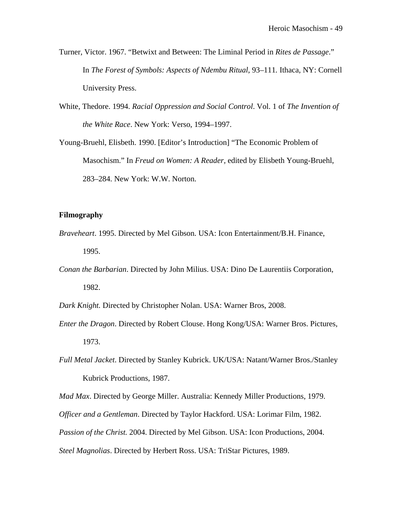Turner, Victor. 1967. "Betwixt and Between: The Liminal Period in *Rites de Passage*." In *The Forest of Symbols: Aspects of Ndembu Ritual*, 93–111*.* Ithaca, NY: Cornell University Press.

White, Thedore. 1994. *Racial Oppression and Social Control*. Vol. 1 of *The Invention of the White Race*. New York: Verso, 1994–1997.

Young-Bruehl, Elisbeth. 1990. [Editor's Introduction] "The Economic Problem of Masochism." In *Freud on Women: A Reader,* edited by Elisbeth Young-Bruehl, 283–284. New York: W.W. Norton.

## **Filmography**

- *Braveheart*. 1995. Directed by Mel Gibson. USA: Icon Entertainment/B.H. Finance, 1995.
- *Conan the Barbarian*. Directed by John Milius. USA: Dino De Laurentiis Corporation, 1982.

*Dark Knight.* Directed by Christopher Nolan. USA: Warner Bros, 2008.

- *Enter the Dragon*. Directed by Robert Clouse. Hong Kong/USA: Warner Bros. Pictures, 1973.
- *Full Metal Jacket*. Directed by Stanley Kubrick. UK/USA: Natant/Warner Bros./Stanley Kubrick Productions, 1987.

*Mad Max*. Directed by George Miller. Australia: Kennedy Miller Productions, 1979. *Officer and a Gentleman*. Directed by Taylor Hackford. USA: Lorimar Film, 1982. *Passion of the Christ.* 2004. Directed by Mel Gibson. USA: Icon Productions, 2004. *Steel Magnolias*. Directed by Herbert Ross. USA: TriStar Pictures, 1989.